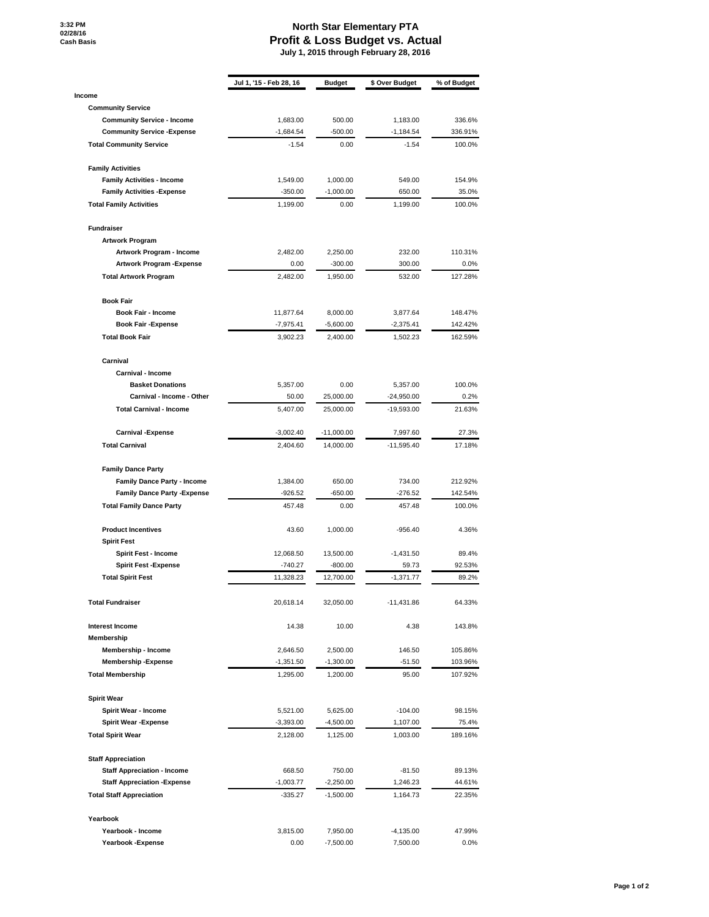**3:32 PM 02/28/16 Cash Basis**

## **North Star Elementary PTA Profit & Loss Budget vs. Actual July 1, 2015 through February 28, 2016**

|                                     | Jul 1, '15 - Feb 28, 16 | <b>Budget</b> | \$ Over Budget | % of Budget |
|-------------------------------------|-------------------------|---------------|----------------|-------------|
| Income                              |                         |               |                |             |
| <b>Community Service</b>            |                         |               |                |             |
| <b>Community Service - Income</b>   | 1,683.00                | 500.00        | 1,183.00       | 336.6%      |
| <b>Community Service - Expense</b>  | $-1,684.54$             | -500.00       | $-1,184.54$    | 336.91%     |
| <b>Total Community Service</b>      | $-1.54$                 | 0.00          | $-1.54$        | 100.0%      |
| <b>Family Activities</b>            |                         |               |                |             |
| <b>Family Activities - Income</b>   | 1,549.00                | 1,000.00      | 549.00         | 154.9%      |
| <b>Family Activities - Expense</b>  | $-350.00$               | $-1,000.00$   | 650.00         | 35.0%       |
| <b>Total Family Activities</b>      | 1,199.00                | 0.00          | 1,199.00       | 100.0%      |
| <b>Fundraiser</b>                   |                         |               |                |             |
| <b>Artwork Program</b>              |                         |               |                |             |
| Artwork Program - Income            | 2,482.00                | 2,250.00      | 232.00         | 110.31%     |
| Artwork Program - Expense           | 0.00                    | $-300.00$     | 300.00         | $0.0\%$     |
| <b>Total Artwork Program</b>        | 2,482.00                | 1,950.00      | 532.00         | 127.28%     |
| <b>Book Fair</b>                    |                         |               |                |             |
| <b>Book Fair - Income</b>           | 11,877.64               | 8,000.00      | 3,877.64       | 148.47%     |
| <b>Book Fair -Expense</b>           | $-7,975.41$             | $-5,600.00$   | $-2,375.41$    | 142.42%     |
| <b>Total Book Fair</b>              | 3,902.23                | 2,400.00      | 1,502.23       | 162.59%     |
| Carnival                            |                         |               |                |             |
| Carnival - Income                   |                         |               |                |             |
| <b>Basket Donations</b>             | 5,357.00                | 0.00          | 5,357.00       | 100.0%      |
| Carnival - Income - Other           | 50.00                   | 25,000.00     | $-24,950.00$   | 0.2%        |
| <b>Total Carnival - Income</b>      | 5,407.00                | 25,000.00     | -19,593.00     | 21.63%      |
| <b>Carnival -Expense</b>            | $-3,002.40$             | $-11,000.00$  | 7,997.60       | 27.3%       |
| <b>Total Carnival</b>               | 2,404.60                | 14,000.00     | $-11,595.40$   | 17.18%      |
| <b>Family Dance Party</b>           |                         |               |                |             |
| <b>Family Dance Party - Income</b>  | 1,384.00                | 650.00        | 734.00         | 212.92%     |
| <b>Family Dance Party - Expense</b> | $-926.52$               | -650.00       | $-276.52$      | 142.54%     |
| <b>Total Family Dance Party</b>     | 457.48                  | 0.00          | 457.48         | 100.0%      |
| <b>Product Incentives</b>           | 43.60                   | 1,000.00      | $-956.40$      | 4.36%       |
| <b>Spirit Fest</b>                  |                         |               |                |             |
| Spirit Fest - Income                | 12,068.50               | 13,500.00     | $-1,431.50$    | 89.4%       |
| <b>Spirit Fest -Expense</b>         | $-740.27$               | $-800.00$     | 59.73          | 92.53%      |
| <b>Total Spirit Fest</b>            | 11,328.23               | 12,700.00     | $-1,371.77$    | 89.2%       |
| <b>Total Fundraiser</b>             | 20,618.14               | 32,050.00     | $-11,431.86$   | 64.33%      |
| <b>Interest Income</b>              | 14.38                   | 10.00         | 4.38           | 143.8%      |
| Membership                          |                         |               |                |             |
| Membership - Income                 | 2,646.50                | 2,500.00      | 146.50         | 105.86%     |
| <b>Membership-Expense</b>           | $-1,351.50$             | $-1,300.00$   | $-51.50$       | 103.96%     |
| <b>Total Membership</b>             | 1,295.00                | 1,200.00      | 95.00          | 107.92%     |
| <b>Spirit Wear</b>                  |                         |               |                |             |
| Spirit Wear - Income                | 5,521.00                | 5,625.00      | $-104.00$      | 98.15%      |
| <b>Spirit Wear - Expense</b>        | $-3,393.00$             | $-4,500.00$   | 1,107.00       | 75.4%       |
| <b>Total Spirit Wear</b>            | 2,128.00                | 1,125.00      | 1,003.00       | 189.16%     |
| <b>Staff Appreciation</b>           |                         |               |                |             |
| <b>Staff Appreciation - Income</b>  | 668.50                  | 750.00        | $-81.50$       | 89.13%      |
| <b>Staff Appreciation - Expense</b> | $-1,003.77$             | $-2,250.00$   | 1,246.23       | 44.61%      |
| <b>Total Staff Appreciation</b>     | $-335.27$               | $-1,500.00$   | 1,164.73       | 22.35%      |
|                                     |                         |               |                |             |
| Yearbook<br>Yearbook - Income       | 3,815.00                | 7,950.00      | -4,135.00      | 47.99%      |
| Yearbook - Expense                  | 0.00                    | $-7,500.00$   | 7,500.00       | 0.0%        |
|                                     |                         |               |                |             |